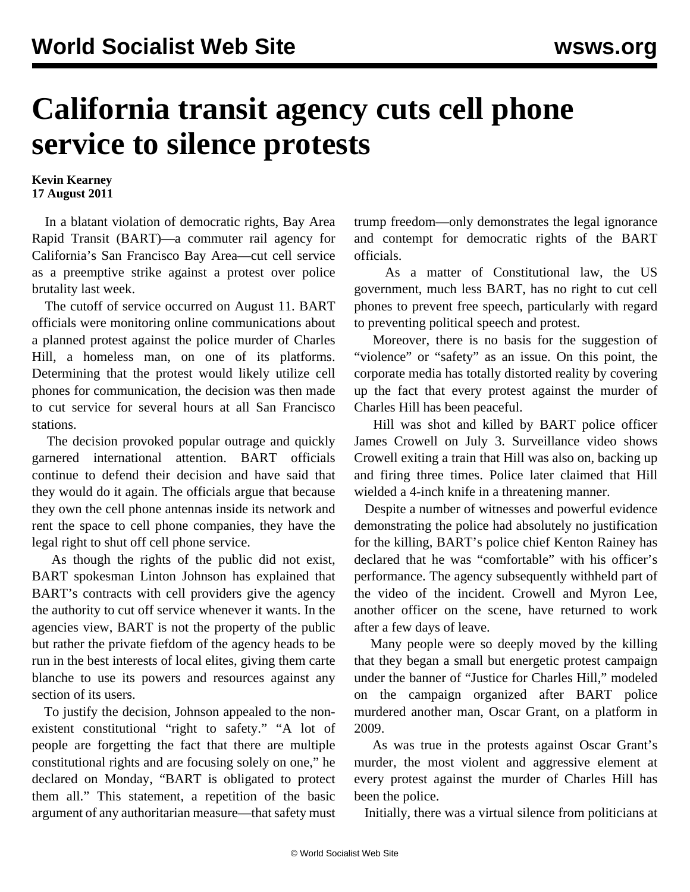## **California transit agency cuts cell phone service to silence protests**

## **Kevin Kearney 17 August 2011**

 In a blatant violation of democratic rights, Bay Area Rapid Transit (BART)—a commuter rail agency for California's San Francisco Bay Area—cut cell service as a preemptive strike against a protest over police brutality last week.

 The cutoff of service occurred on August 11. BART officials were monitoring online communications about a planned protest against the police murder of Charles Hill, a homeless man, on one of its platforms. Determining that the protest would likely utilize cell phones for communication, the decision was then made to cut service for several hours at all San Francisco stations.

 The decision provoked popular outrage and quickly garnered international attention. BART officials continue to defend their decision and have said that they would do it again. The officials argue that because they own the cell phone antennas inside its network and rent the space to cell phone companies, they have the legal right to shut off cell phone service.

 As though the rights of the public did not exist, BART spokesman Linton Johnson has explained that BART's contracts with cell providers give the agency the authority to cut off service whenever it wants. In the agencies view, BART is not the property of the public but rather the private fiefdom of the agency heads to be run in the best interests of local elites, giving them carte blanche to use its powers and resources against any section of its users.

 To justify the decision, Johnson appealed to the nonexistent constitutional "right to safety." "A lot of people are forgetting the fact that there are multiple constitutional rights and are focusing solely on one," he declared on Monday, "BART is obligated to protect them all." This statement, a repetition of the basic argument of any authoritarian measure—that safety must trump freedom—only demonstrates the legal ignorance and contempt for democratic rights of the BART officials.

 As a matter of Constitutional law, the US government, much less BART, has no right to cut cell phones to prevent free speech, particularly with regard to preventing political speech and protest.

 Moreover, there is no basis for the suggestion of "violence" or "safety" as an issue. On this point, the corporate media has totally distorted reality by covering up the fact that every protest against the murder of Charles Hill has been peaceful.

 Hill was shot and killed by BART police officer James Crowell on July 3. Surveillance video shows Crowell exiting a train that Hill was also on, backing up and firing three times. Police later claimed that Hill wielded a 4-inch knife in a threatening manner.

 Despite a number of witnesses and powerful evidence demonstrating the police had absolutely no justification for the killing, BART's police chief Kenton Rainey has declared that he was "comfortable" with his officer's performance. The agency subsequently withheld part of the video of the incident. Crowell and Myron Lee, another officer on the scene, have returned to work after a few days of leave.

 Many people were so deeply moved by the killing that they began a small but energetic protest campaign under the banner of "Justice for Charles Hill," modeled on the campaign organized after BART police murdered another man, Oscar Grant, on a platform in 2009.

 As was true in the protests against Oscar Grant's murder, the most violent and aggressive element at every protest against the murder of Charles Hill has been the police.

Initially, there was a virtual silence from politicians at